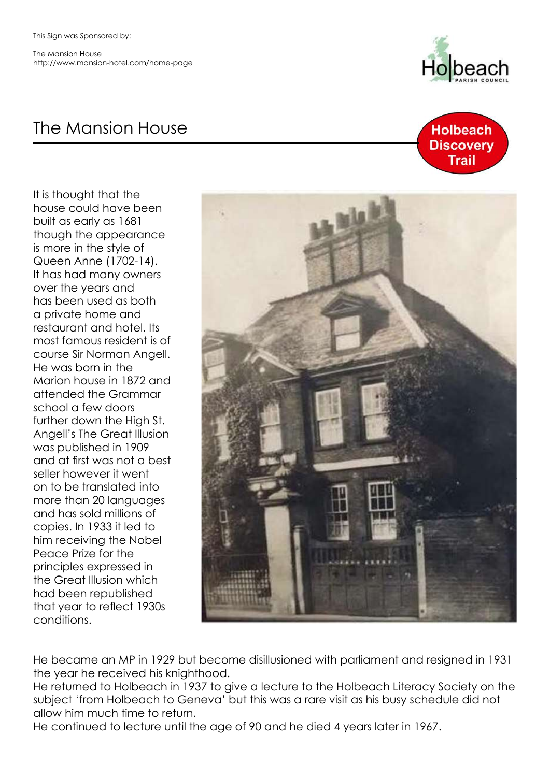The Mansion House http://www.mansion-hotel.com/home-page

## The Mansion House

It is thought that the house could have been built as early as 1681 though the appearance is more in the style of Queen Anne (1702-14). It has had many owners over the years and has been used as both a private home and restaurant and hotel. Its most famous resident is of course Sir Norman Angell. He was born in the Marion house in 1872 and attended the Grammar school a few doors further down the High St. Angell's The Great Illusion was published in 1909 and at first was not a best seller however it went on to be translated into more than 20 languages and has sold millions of copies. In 1933 it led to him receiving the Nobel Peace Prize for the principles expressed in the Great Illusion which had been republished that year to reflect 1930s conditions.







He became an MP in 1929 but become disillusioned with parliament and resigned in 1931 the year he received his knighthood.

He returned to Holbeach in 1937 to give a lecture to the Holbeach Literacy Society on the subject 'from Holbeach to Geneva' but this was a rare visit as his busy schedule did not allow him much time to return.

He continued to lecture until the age of 90 and he died 4 years later in 1967.